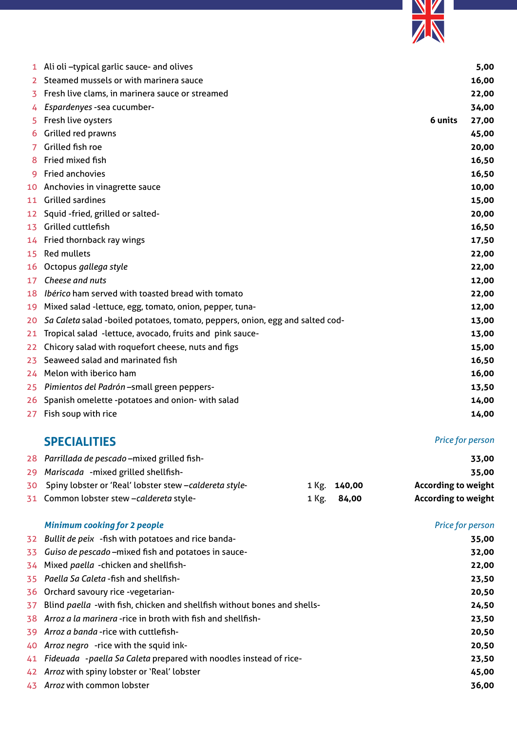

|                 | 1 Ali oli-typical garlic sauce- and olives                                    |         | 5,00  |
|-----------------|-------------------------------------------------------------------------------|---------|-------|
| $2^{\circ}$     | Steamed mussels or with marinera sauce                                        |         | 16,00 |
| 3               | Fresh live clams, in marinera sauce or streamed                               |         | 22,00 |
| 4               | Espardenyes - sea cucumber-                                                   |         | 34,00 |
| 5.              | Fresh live oysters                                                            | 6 units | 27,00 |
| 6               | Grilled red prawns                                                            |         | 45,00 |
| 7               | Grilled fish roe                                                              |         | 20,00 |
| 8               | Fried mixed fish                                                              |         | 16,50 |
| 9               | Fried anchovies                                                               |         | 16,50 |
|                 | 10 Anchovies in vinagrette sauce                                              |         | 10,00 |
|                 | 11 Grilled sardines                                                           |         | 15,00 |
| 12              | Squid -fried, grilled or salted-                                              |         | 20,00 |
| 13              | Grilled cuttlefish                                                            |         | 16,50 |
|                 | 14 Fried thornback ray wings                                                  |         | 17,50 |
| 15 <sub>1</sub> | <b>Red mullets</b>                                                            |         | 22,00 |
|                 | 16 Octopus gallega style                                                      |         | 22,00 |
| 17              | Cheese and nuts                                                               |         | 12,00 |
|                 | 18 Ibérico ham served with toasted bread with tomato                          |         | 22,00 |
|                 | 19 Mixed salad -lettuce, egg, tomato, onion, pepper, tuna-                    |         | 12,00 |
| 20.             | Sa Caleta salad -boiled potatoes, tomato, peppers, onion, egg and salted cod- |         | 13,00 |
|                 | 21 Tropical salad -lettuce, avocado, fruits and pink sauce-                   |         | 13,00 |
| 22              | Chicory salad with roquefort cheese, nuts and figs                            |         | 15,00 |
| 23              | Seaweed salad and marinated fish                                              |         | 16,50 |
|                 | 24 Melon with iberico ham                                                     |         | 16,00 |
| 25              | Pimientos del Padrón-small green peppers-                                     |         | 13,50 |
|                 | 26 Spanish omelette -potatoes and onion- with salad                           |         | 14,00 |
|                 | 27 Fish soup with rice                                                        |         | 14,00 |

## **SPECIALITIES** *Price for person*

| 28 Parrillada de pescado - mixed grilled fish-            |              | 33,00                      |
|-----------------------------------------------------------|--------------|----------------------------|
| 29 Mariscada - mixed grilled shellfish-                   |              | 35,00                      |
| 30 Spiny lobster or 'Real' lobster stew -caldereta style- | 1 Kg. 140,00 | <b>According to weight</b> |
| 31 Common lobster stew -caldereta style-                  | 1 Kg. 84,00  | <b>According to weight</b> |

|     | <b>Minimum cooking for 2 people</b>                                      | <b>Price for person</b> |
|-----|--------------------------------------------------------------------------|-------------------------|
|     | 32 Bullit de peix -fish with potatoes and rice banda-                    | 35,00                   |
|     | 33 Guiso de pescado - mixed fish and potatoes in sauce-                  | 32,00                   |
|     | 34 Mixed paella -chicken and shellfish-                                  | 22,00                   |
|     | 35 Paella Sa Caleta - fish and shellfish-                                | 23,50                   |
|     | 36 Orchard savoury rice -vegetarian-                                     | 20,50                   |
| 37  | Blind paella -with fish, chicken and shellfish without bones and shells- | 24,50                   |
|     | 38 Arroz a la marinera -rice in broth with fish and shellfish-           | 23,50                   |
|     | 39 Arroz a banda - rice with cuttlefish-                                 | 20,50                   |
|     | 40 Arroz negro - rice with the squid ink-                                | 20,50                   |
|     | 41 Fideuada -paella Sa Caleta prepared with noodles instead of rice-     | 23,50                   |
|     | 42 Arroz with spiny lobster or 'Real' lobster                            | 45,00                   |
| 43. | Arroz with common lobster                                                | 36,00                   |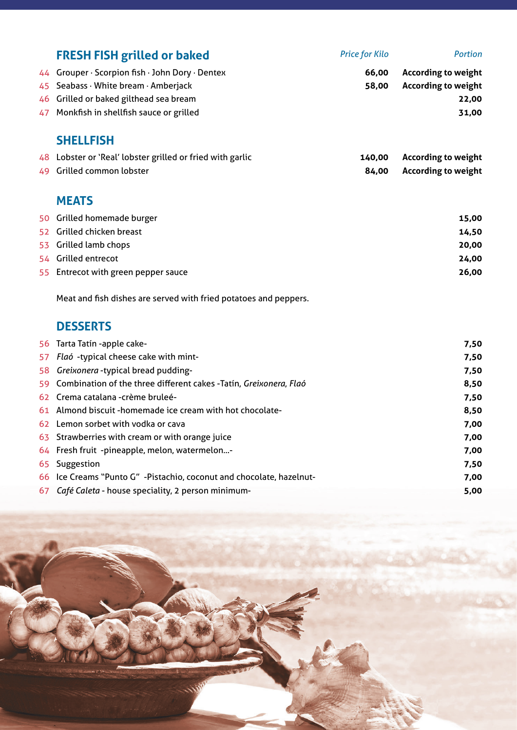|    | <b>FRESH FISH grilled or baked</b>                                   | <b>Price for Kilo</b> | <b>Portion</b>             |
|----|----------------------------------------------------------------------|-----------------------|----------------------------|
| 44 | Grouper · Scorpion fish · John Dory · Dentex                         | 66,00                 | <b>According to weight</b> |
| 45 | Seabass · White bream · Amberjack                                    | 58,00                 | <b>According to weight</b> |
| 46 | Grilled or baked gilthead sea bream                                  |                       | 22,00                      |
| 47 | Monkfish in shellfish sauce or grilled                               |                       | 31,00                      |
|    | <b>SHELLFISH</b>                                                     |                       |                            |
|    | 48 Lobster or 'Real' lobster grilled or fried with garlic            | 140,00                | <b>According to weight</b> |
| 49 | Grilled common lobster                                               | 84,00                 | <b>According to weight</b> |
|    | <b>MEATS</b>                                                         |                       |                            |
|    | 50 Grilled homemade burger                                           |                       | 15,00                      |
|    | 52 Grilled chicken breast                                            |                       | 14,50                      |
| 53 | Grilled lamb chops                                                   |                       | 20,00                      |
|    | 54 Grilled entrecot                                                  |                       | 24,00                      |
| 55 | Entrecot with green pepper sauce                                     |                       | 26,00                      |
|    | Meat and fish dishes are served with fried potatoes and peppers.     |                       |                            |
|    | <b>DESSERTS</b>                                                      |                       |                            |
|    | 56 Tarta Tatín -apple cake-                                          |                       | 7,50                       |
| 57 | Flaó -typical cheese cake with mint-                                 |                       | 7,50                       |
| 58 | Greixonera -typical bread pudding-                                   |                       | 7,50                       |
| 59 | Combination of the three different cakes -Tatín, Greixonera, Flaó    |                       | 8,50                       |
| 62 | Crema catalana - crème bruleé-                                       |                       | 7,50                       |
| 61 | Almond biscuit -homemade ice cream with hot chocolate-               |                       | 8,50                       |
|    | 62 Lemon sorbet with vodka or cava                                   |                       | 7,00                       |
| 63 | Strawberries with cream or with orange juice                         |                       | 7,00                       |
|    | 64 Fresh fruit -pineapple, melon, watermelon-                        |                       | 7,00                       |
| 65 | Suggestion                                                           |                       | 7,50                       |
|    | 66 Ice Creams "Punto G" -Pistachio, coconut and chocolate, hazelnut- |                       | 7,00                       |

*Café Caleta* - house speciality, 2 person minimum- **5,00**